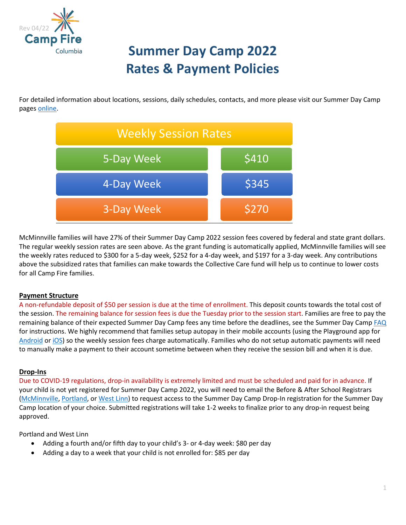

# **Summer Day Camp 2022 Rates & Payment Policies**

For detailed information about locations, sessions, daily schedules, contacts, and more please visit our Summer Day Camp pages [online.](https://campfirecolumbia.org/programs/day-camp/)



<span id="page-0-0"></span>McMinnville families will have 27% of their Summer Day Camp 2022 session fees covered by federal and state grant dollars. The regular weekly session rates are seen above. As the grant funding is automatically applied, McMinnville families will see the weekly rates reduced to \$300 for a 5-day week, \$252 for a 4-day week, and \$197 for a 3-day week. Any contributions above the subsidized rates that families can make towards the Collective Care fund will help us to continue to lower costs for all Camp Fire families.

### <span id="page-0-2"></span>**Payment Structure**

A non-refundable deposit of \$50 per session is due at the time of enrollment. This deposit counts towards the total cost of the session. The remaining balance for session fees is due the Tuesday prior to the session start. Families are free to pay the remaining balance of their expected Summer Day Camp fees any time before the deadlines, see the Summer Day Camp [FAQ](https://campfirecolumbia.org/wp-content/uploads/2022/04/SDC22-FAQ.pdf) for instructions. We highly recommend that families setup autopay in their mobile accounts (using the Playground app for [Android](https://play.google.com/store/apps/details?id=com.afterschooldevelopment.carline&hl=en_US&gl=US) or [iOS\)](https://apps.apple.com/us/app/playground-school-management/id1486661197) so the weekly session fees charge automatically. Families who do not setup automatic payments will need to manually make a payment to their account sometime between when they receive the session bill and when it is due.

### <span id="page-0-1"></span>**Drop-Ins**

Due to COVID-19 regulations, drop-in availability is extremely limited and must be scheduled and paid for in advance. If your child is not yet registered for Summer Day Camp 2022, you will need to email the Before & After School Registrars [\(McMinnville,](mailto:msd@campfirecolumbia.org) [Portland,](mailto:ppsreg@campfirecolumbia.org) or [West Linn\)](mailto:wlwvreg@campfirecolumbia.org) to request access to the Summer Day Camp Drop-In registration for the Summer Day Camp location of your choice. Submitted registrations will take 1-2 weeks to finalize prior to any drop-in request being approved.

Portland and West Linn

- Adding a fourth and/or fifth day to your child's 3- or 4-day week: \$80 per day
- Adding a day to a week that your child is not enrolled for: \$85 per day